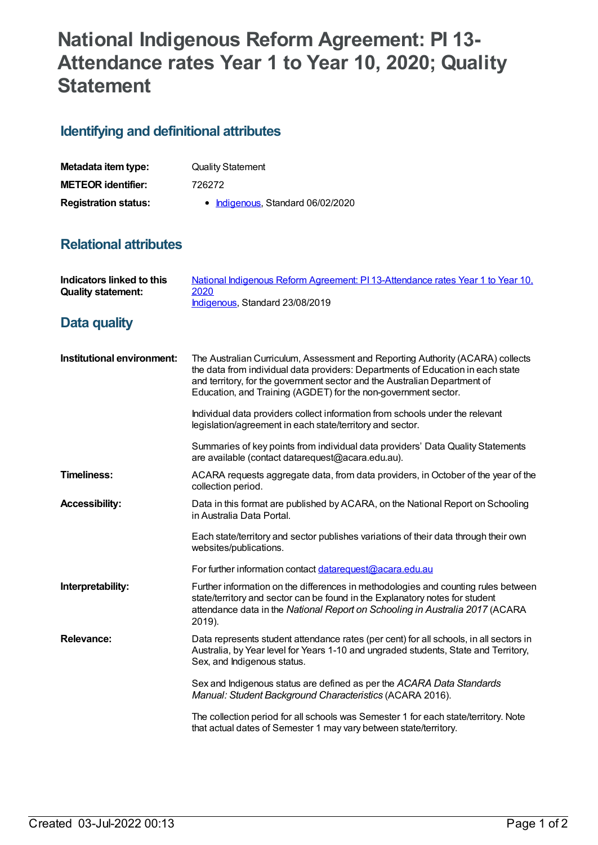## **National Indigenous Reform Agreement: PI 13- Attendance rates Year 1 to Year 10, 2020; Quality Statement**

## **Identifying and definitional attributes**

| Metadata item type:         | <b>Quality Statement</b>          |
|-----------------------------|-----------------------------------|
| <b>METEOR identifier:</b>   | 726272                            |
| <b>Registration status:</b> | • Indigenous, Standard 06/02/2020 |

## **Relational attributes**

| Indicators linked to this<br><b>Quality statement:</b> | National Indigenous Reform Agreement: PI 13-Attendance rates Year 1 to Year 10,<br>2020<br>Indigenous, Standard 23/08/2019                                                                                                                                                                                       |
|--------------------------------------------------------|------------------------------------------------------------------------------------------------------------------------------------------------------------------------------------------------------------------------------------------------------------------------------------------------------------------|
| <b>Data quality</b>                                    |                                                                                                                                                                                                                                                                                                                  |
| Institutional environment:                             | The Australian Curriculum, Assessment and Reporting Authority (ACARA) collects<br>the data from individual data providers: Departments of Education in each state<br>and territory, for the government sector and the Australian Department of<br>Education, and Training (AGDET) for the non-government sector. |
|                                                        | Individual data providers collect information from schools under the relevant<br>legislation/agreement in each state/territory and sector.                                                                                                                                                                       |
|                                                        | Summaries of key points from individual data providers' Data Quality Statements<br>are available (contact datarequest@acara.edu.au).                                                                                                                                                                             |
| <b>Timeliness:</b>                                     | ACARA requests aggregate data, from data providers, in October of the year of the<br>collection period.                                                                                                                                                                                                          |
| <b>Accessibility:</b>                                  | Data in this format are published by ACARA, on the National Report on Schooling<br>in Australia Data Portal.                                                                                                                                                                                                     |
|                                                        | Each state/territory and sector publishes variations of their data through their own<br>websites/publications.                                                                                                                                                                                                   |
|                                                        | For further information contact datarequest@acara.edu.au                                                                                                                                                                                                                                                         |
| Interpretability:                                      | Further information on the differences in methodologies and counting rules between<br>state/territory and sector can be found in the Explanatory notes for student<br>attendance data in the National Report on Schooling in Australia 2017 (ACARA<br>2019).                                                     |
| <b>Relevance:</b>                                      | Data represents student attendance rates (per cent) for all schools, in all sectors in<br>Australia, by Year level for Years 1-10 and ungraded students, State and Territory,<br>Sex, and Indigenous status.                                                                                                     |
|                                                        | Sex and Indigenous status are defined as per the ACARA Data Standards<br>Manual: Student Background Characteristics (ACARA 2016).                                                                                                                                                                                |
|                                                        | The collection period for all schools was Semester 1 for each state/territory. Note<br>that actual dates of Semester 1 may vary between state/territory.                                                                                                                                                         |